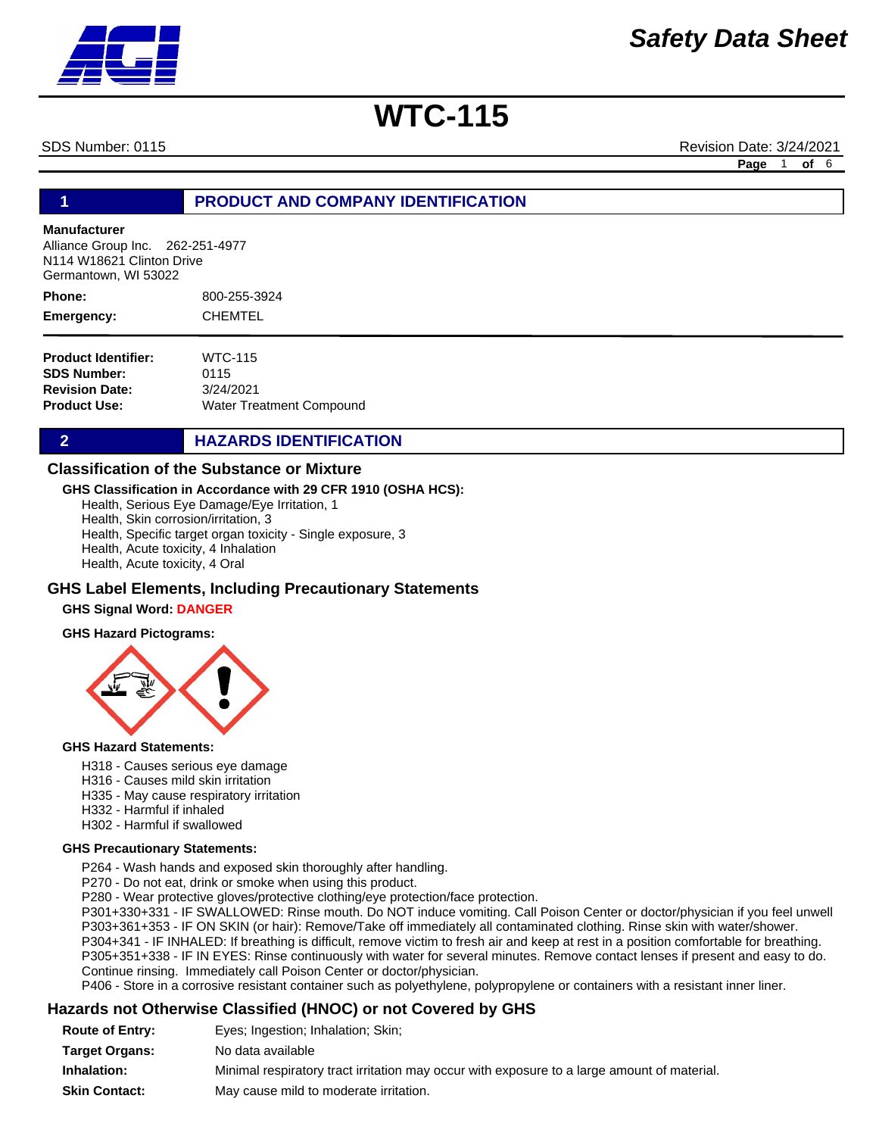SDS Number: 0115 Revision Date: 3/24/2021

**Page** 1 **of** 6

## **1 PRODUCT AND COMPANY IDENTIFICATION**

#### **Manufacturer**

Alliance Group Inc. 262-251-4977 N114 W18621 Clinton Drive Germantown, WI 53022

800-255-3924 CHEMTEL **Phone: Emergency:**

| <b>Product Identifier:</b> | <b>WTC-115</b>                  |
|----------------------------|---------------------------------|
| <b>SDS Number:</b>         | 0115                            |
| <b>Revision Date:</b>      | 3/24/2021                       |
| <b>Product Use:</b>        | <b>Water Treatment Compound</b> |

## **2 HAZARDS IDENTIFICATION**

### **Classification of the Substance or Mixture**

**GHS Classification in Accordance with 29 CFR 1910 (OSHA HCS):**

Health, Serious Eye Damage/Eye Irritation, 1

Health, Skin corrosion/irritation, 3

Health, Specific target organ toxicity - Single exposure, 3

Health, Acute toxicity, 4 Inhalation

Health, Acute toxicity, 4 Oral

#### **GHS Label Elements, Including Precautionary Statements**

#### **GHS Signal Word: DANGER**

#### **GHS Hazard Pictograms:**



#### **GHS Hazard Statements:**

- H318 Causes serious eye damage
- H316 Causes mild skin irritation
- H335 May cause respiratory irritation
- H332 Harmful if inhaled
- H302 Harmful if swallowed

#### **GHS Precautionary Statements:**

P264 - Wash hands and exposed skin thoroughly after handling.

P270 - Do not eat, drink or smoke when using this product.

P280 - Wear protective gloves/protective clothing/eye protection/face protection.

P301+330+331 - IF SWALLOWED: Rinse mouth. Do NOT induce vomiting. Call Poison Center or doctor/physician if you feel unwell P303+361+353 - IF ON SKIN (or hair): Remove/Take off immediately all contaminated clothing. Rinse skin with water/shower. P304+341 - IF INHALED: If breathing is difficult, remove victim to fresh air and keep at rest in a position comfortable for breathing. P305+351+338 - IF IN EYES: Rinse continuously with water for several minutes. Remove contact lenses if present and easy to do. Continue rinsing. Immediately call Poison Center or doctor/physician.

P406 - Store in a corrosive resistant container such as polyethylene, polypropylene or containers with a resistant inner liner.

## **Hazards not Otherwise Classified (HNOC) or not Covered by GHS**

| <b>Route of Entry:</b> | Eyes; Ingestion; Inhalation; Skin;                                                          |
|------------------------|---------------------------------------------------------------------------------------------|
| <b>Target Organs:</b>  | No data available                                                                           |
| Inhalation:            | Minimal respiratory tract irritation may occur with exposure to a large amount of material. |
| <b>Skin Contact:</b>   | May cause mild to moderate irritation.                                                      |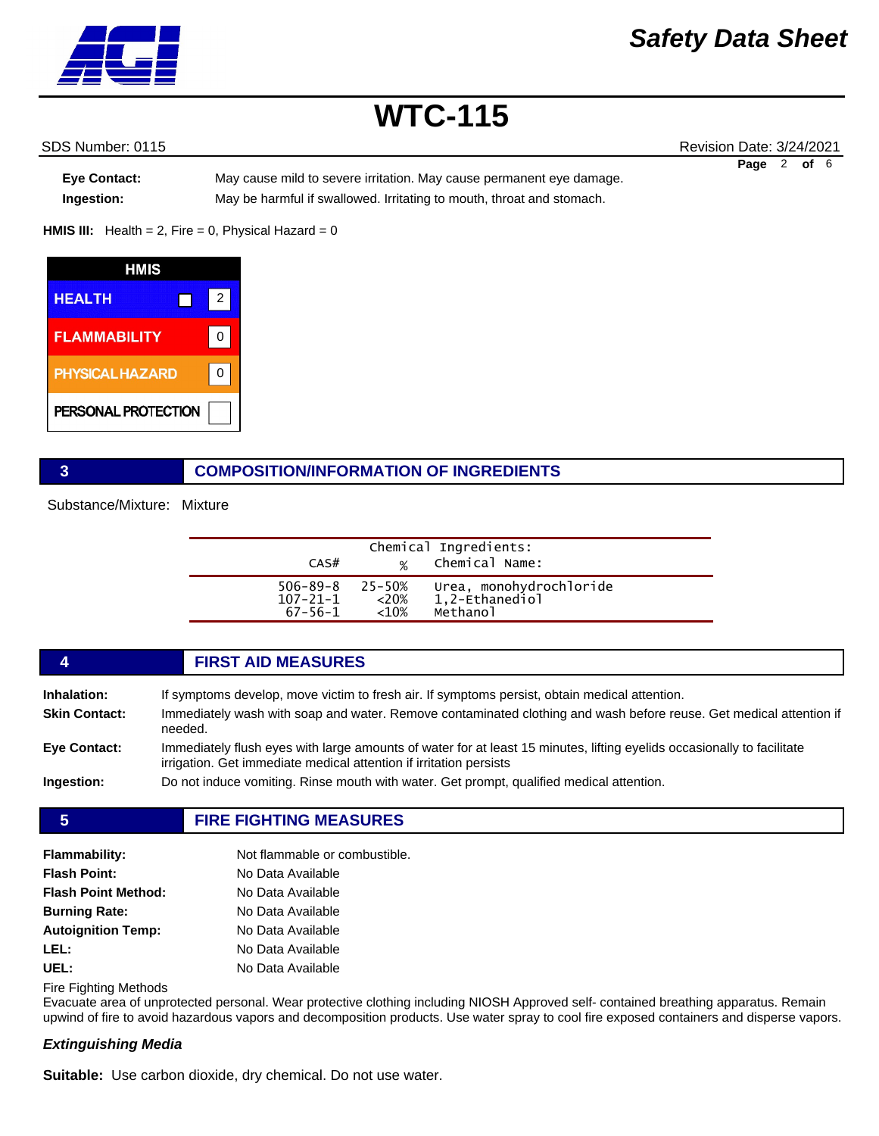

SDS Number: 0115 Revision Date: 3/24/2021 **Page** 2 **of** 6

**Eye Contact:** May cause mild to severe irritation. May cause permanent eye damage. **Ingestion:** May be harmful if swallowed. Irritating to mouth, throat and stomach.

**HMIS III:** Health = 2, Fire = 0, Physical Hazard = 0



## **3 COMPOSITION/INFORMATION OF INGREDIENTS**

Substance/Mixture: Mixture

|                                                               |           | Chemical Ingredients:                                 |  |
|---------------------------------------------------------------|-----------|-------------------------------------------------------|--|
| CAS#                                                          |           | % Chemical Name:                                      |  |
| $506 - 89 - 8$ 25-50%<br>$107 - 21 - 1$ <20%<br>$67 - 56 - 1$ | ${<}10\%$ | Urea, monohydrochloride<br>1,2-Ethanediol<br>Methanol |  |
|                                                               |           |                                                       |  |

## **4 FIRST AID MEASURES**

| Inhalation:<br><b>Skin Contact:</b> | If symptoms develop, move victim to fresh air. If symptoms persist, obtain medical attention.<br>Immediately wash with soap and water. Remove contaminated clothing and wash before reuse. Get medical attention if<br>needed. |
|-------------------------------------|--------------------------------------------------------------------------------------------------------------------------------------------------------------------------------------------------------------------------------|
| <b>Eve Contact:</b>                 | Immediately flush eves with large amounts of water for at least 15 minutes, lifting evelids occasionally to facilitate<br>irrigation. Get immediate medical attention if irritation persists                                   |
| Ingestion:                          | Do not induce vomiting. Rinse mouth with water. Get prompt, qualified medical attention.                                                                                                                                       |

**5 FIRE FIGHTING MEASURES**

| <b>Flammability:</b>       | Not flammable or combustible. |
|----------------------------|-------------------------------|
| <b>Flash Point:</b>        | No Data Available             |
| <b>Flash Point Method:</b> | No Data Available             |
| <b>Burning Rate:</b>       | No Data Available             |
| <b>Autoignition Temp:</b>  | No Data Available             |
| LEL:                       | No Data Available             |
| UEL:                       | No Data Available             |

Fire Fighting Methods

Evacuate area of unprotected personal. Wear protective clothing including NIOSH Approved self- contained breathing apparatus. Remain upwind of fire to avoid hazardous vapors and decomposition products. Use water spray to cool fire exposed containers and disperse vapors.

## *Extinguishing Media*

**Suitable:** Use carbon dioxide, dry chemical. Do not use water.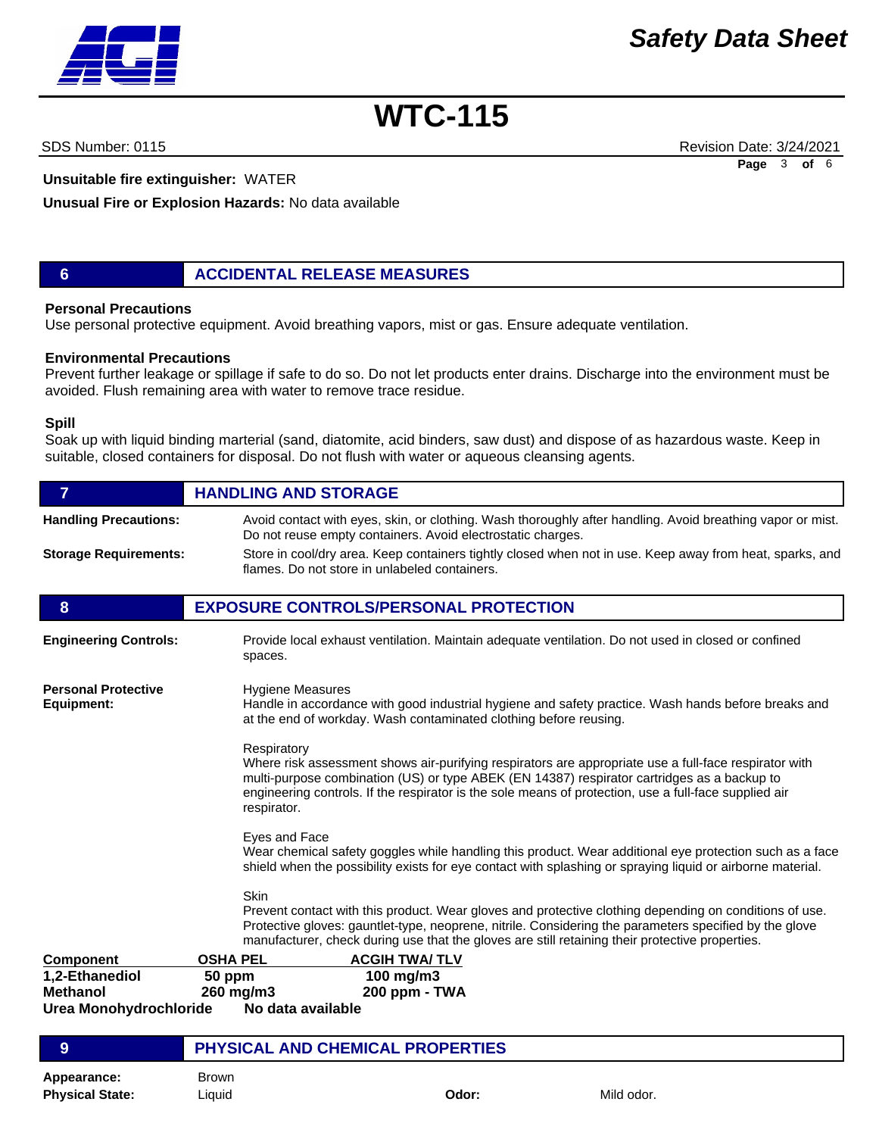

**Unsuitable fire extinguisher:** WATER

**Unusual Fire or Explosion Hazards:** No data available

**6 ACCIDENTAL RELEASE MEASURES**

## **Personal Precautions**

Use personal protective equipment. Avoid breathing vapors, mist or gas. Ensure adequate ventilation.

### **Environmental Precautions**

Prevent further leakage or spillage if safe to do so. Do not let products enter drains. Discharge into the environment must be avoided. Flush remaining area with water to remove trace residue.

#### **Spill**

Soak up with liquid binding marterial (sand, diatomite, acid binders, saw dust) and dispose of as hazardous waste. Keep in suitable, closed containers for disposal. Do not flush with water or aqueous cleansing agents.

| $\overline{7}$                                              | <b>HANDLING AND STORAGE</b>                                                                                                                                                                                                                                                                                                                 |  |  |
|-------------------------------------------------------------|---------------------------------------------------------------------------------------------------------------------------------------------------------------------------------------------------------------------------------------------------------------------------------------------------------------------------------------------|--|--|
| <b>Handling Precautions:</b>                                | Avoid contact with eyes, skin, or clothing. Wash thoroughly after handling. Avoid breathing vapor or mist.<br>Do not reuse empty containers. Avoid electrostatic charges.                                                                                                                                                                   |  |  |
| <b>Storage Requirements:</b>                                | Store in cool/dry area. Keep containers tightly closed when not in use. Keep away from heat, sparks, and<br>flames. Do not store in unlabeled containers.                                                                                                                                                                                   |  |  |
| 8                                                           | <b>EXPOSURE CONTROLS/PERSONAL PROTECTION</b>                                                                                                                                                                                                                                                                                                |  |  |
| <b>Engineering Controls:</b>                                | Provide local exhaust ventilation. Maintain adequate ventilation. Do not used in closed or confined<br>spaces.                                                                                                                                                                                                                              |  |  |
| <b>Personal Protective</b><br>Equipment:                    | <b>Hygiene Measures</b><br>Handle in accordance with good industrial hygiene and safety practice. Wash hands before breaks and<br>at the end of workday. Wash contaminated clothing before reusing.                                                                                                                                         |  |  |
|                                                             | Respiratory<br>Where risk assessment shows air-purifying respirators are appropriate use a full-face respirator with<br>multi-purpose combination (US) or type ABEK (EN 14387) respirator cartridges as a backup to<br>engineering controls. If the respirator is the sole means of protection, use a full-face supplied air<br>respirator. |  |  |
|                                                             | Eyes and Face<br>Wear chemical safety goggles while handling this product. Wear additional eye protection such as a face<br>shield when the possibility exists for eye contact with splashing or spraying liquid or airborne material.                                                                                                      |  |  |
|                                                             | Skin<br>Prevent contact with this product. Wear gloves and protective clothing depending on conditions of use.<br>Protective gloves: gauntlet-type, neoprene, nitrile. Considering the parameters specified by the glove<br>manufacturer, check during use that the gloves are still retaining their protective properties.                 |  |  |
| <b>Component</b>                                            | <b>OSHA PEL</b><br><b>ACGIH TWA/TLV</b>                                                                                                                                                                                                                                                                                                     |  |  |
| 1,2-Ethanediol<br><b>Methanol</b><br>Urea Monohydrochloride | 100 mg/m3<br>50 ppm<br>260 mg/m3<br>200 ppm - TWA<br>No data available                                                                                                                                                                                                                                                                      |  |  |
| 9                                                           | <b>PHYSICAL AND CHEMICAL PROPERTIES</b>                                                                                                                                                                                                                                                                                                     |  |  |
| Appearance:<br><b>Physical State:</b>                       | <b>Brown</b><br>Odor:<br>Mild odor.<br>Liquid                                                                                                                                                                                                                                                                                               |  |  |

SDS Number: 0115 Revision Date: 3/24/2021 **Page** 3 **of** 6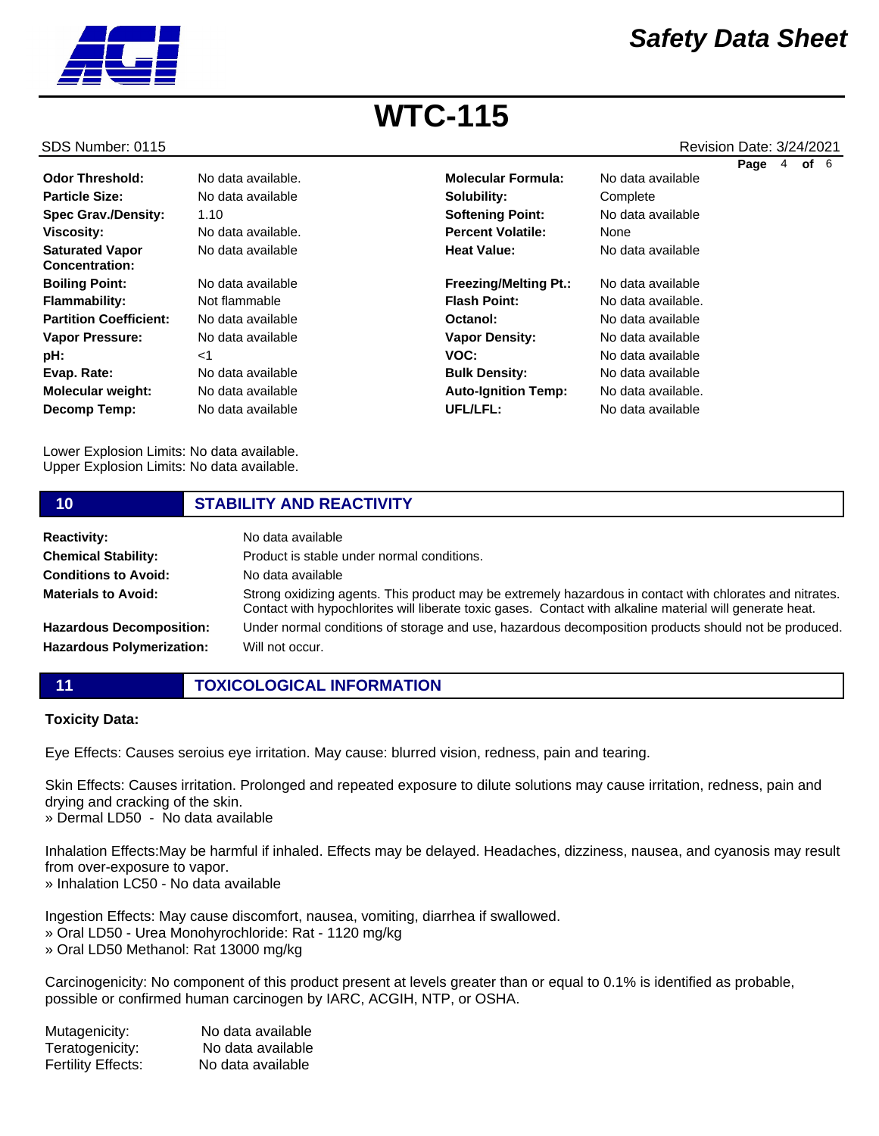

#### SDS Number: 0115 Revision Date: 3/24/2021

|                                                 |                    |                              |                    | Page | 4 | of $6$ |  |
|-------------------------------------------------|--------------------|------------------------------|--------------------|------|---|--------|--|
| <b>Odor Threshold:</b>                          | No data available. | <b>Molecular Formula:</b>    | No data available  |      |   |        |  |
| <b>Particle Size:</b>                           | No data available  | Solubility:                  | Complete           |      |   |        |  |
| <b>Spec Grav./Density:</b>                      | 1.10               | <b>Softening Point:</b>      | No data available  |      |   |        |  |
| <b>Viscosity:</b>                               | No data available. | <b>Percent Volatile:</b>     | None               |      |   |        |  |
| <b>Saturated Vapor</b><br><b>Concentration:</b> | No data available  | <b>Heat Value:</b>           | No data available  |      |   |        |  |
| <b>Boiling Point:</b>                           | No data available  | <b>Freezing/Melting Pt.:</b> | No data available  |      |   |        |  |
| <b>Flammability:</b>                            | Not flammable      | <b>Flash Point:</b>          | No data available. |      |   |        |  |
| <b>Partition Coefficient:</b>                   | No data available  | Octanol:                     | No data available  |      |   |        |  |
| <b>Vapor Pressure:</b>                          | No data available  | <b>Vapor Density:</b>        | No data available  |      |   |        |  |
| pH:                                             | $<$ 1              | VOC:                         | No data available  |      |   |        |  |
| Evap. Rate:                                     | No data available  | <b>Bulk Density:</b>         | No data available  |      |   |        |  |
| <b>Molecular weight:</b>                        | No data available  | <b>Auto-Ignition Temp:</b>   | No data available. |      |   |        |  |
| Decomp Temp:                                    | No data available  | UFL/LFL:                     | No data available  |      |   |        |  |

Lower Explosion Limits: No data available. Upper Explosion Limits: No data available.

#### **10 STABILITY AND REACTIVITY Reactivity:** No data available **Chemical Stability: Conditions to Avoid:** Product is stable under normal conditions. No data available

**Materials to Avoid: Hazardous Decomposition: Hazardous Polymerization:** Strong oxidizing agents. This product may be extremely hazardous in contact with chlorates and nitrates. Contact with hypochlorites will liberate toxic gases. Contact with alkaline material will generate heat. Under normal conditions of storage and use, hazardous decomposition products should not be produced. Will not occur.

**11 TOXICOLOGICAL INFORMATION**

#### **Toxicity Data:**

Eye Effects: Causes seroius eye irritation. May cause: blurred vision, redness, pain and tearing.

Skin Effects: Causes irritation. Prolonged and repeated exposure to dilute solutions may cause irritation, redness, pain and drying and cracking of the skin.

» Dermal LD50 - No data available

Inhalation Effects:May be harmful if inhaled. Effects may be delayed. Headaches, dizziness, nausea, and cyanosis may result from over-exposure to vapor.

» Inhalation LC50 - No data available

Ingestion Effects: May cause discomfort, nausea, vomiting, diarrhea if swallowed.

- » Oral LD50 Urea Monohyrochloride: Rat 1120 mg/kg
- » Oral LD50 Methanol: Rat 13000 mg/kg

Carcinogenicity: No component of this product present at levels greater than or equal to 0.1% is identified as probable, possible or confirmed human carcinogen by IARC, ACGIH, NTP, or OSHA.

| Mutagenicity:      | No data available |
|--------------------|-------------------|
| Teratogenicity:    | No data available |
| Fertility Effects: | No data available |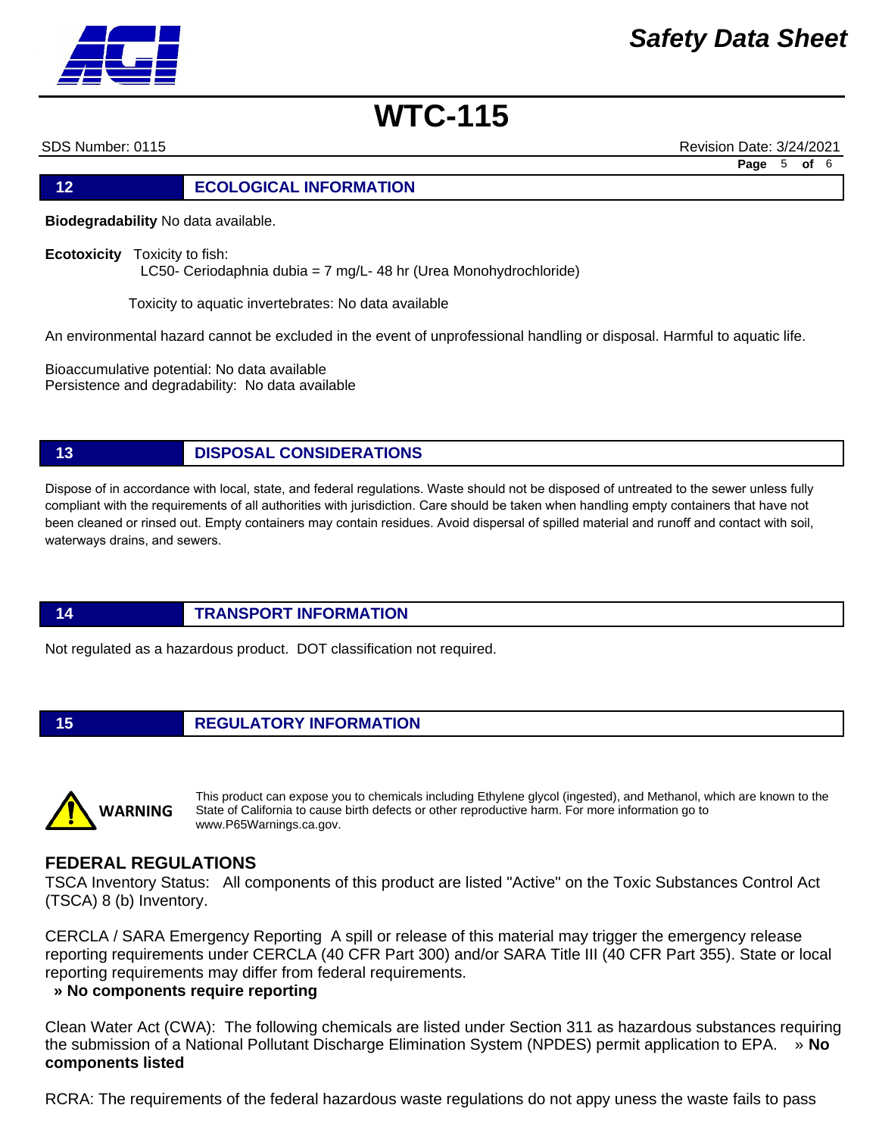

SDS Number: 0115 Revision Date: 3/24/2021

**Page** 5 **of** 6

# **12 ECOLOGICAL INFORMATION**

**Biodegradability** No data available.

**Ecotoxicity** Toxicity to fish: LC50- Ceriodaphnia dubia = 7 mg/L- 48 hr (Urea Monohydrochloride)

Toxicity to aquatic invertebrates: No data available

An environmental hazard cannot be excluded in the event of unprofessional handling or disposal. Harmful to aquatic life.

Bioaccumulative potential: No data available Persistence and degradability: No data available

**13 DISPOSAL CONSIDERATIONS**

Dispose of in accordance with local, state, and federal regulations. Waste should not be disposed of untreated to the sewer unless fully compliant with the requirements of all authorities with jurisdiction. Care should be taken when handling empty containers that have not been cleaned or rinsed out. Empty containers may contain residues. Avoid dispersal of spilled material and runoff and contact with soil, waterways drains, and sewers.

## **14 TRANSPORT INFORMATION**

Not regulated as a hazardous product. DOT classification not required.

# **15 REGULATORY INFORMATION**



This product can expose you to chemicals including Ethylene glycol (ingested), and Methanol, which are known to the State of California to cause birth defects or other reproductive harm. For more information go to www.P65Warnings.ca.gov.

# **FEDERAL REGULATIONS**

TSCA Inventory Status: All components of this product are listed "Active" on the Toxic Substances Control Act (TSCA) 8 (b) Inventory.

CERCLA / SARA Emergency Reporting A spill or release of this material may trigger the emergency release reporting requirements under CERCLA (40 CFR Part 300) and/or SARA Title III (40 CFR Part 355). State or local reporting requirements may differ from federal requirements.

## **» No components require reporting**

Clean Water Act (CWA): The following chemicals are listed under Section 311 as hazardous substances requiring the submission of a National Pollutant Discharge Elimination System (NPDES) permit application to EPA. » **No components listed**

RCRA: The requirements of the federal hazardous waste regulations do not appy uness the waste fails to pass